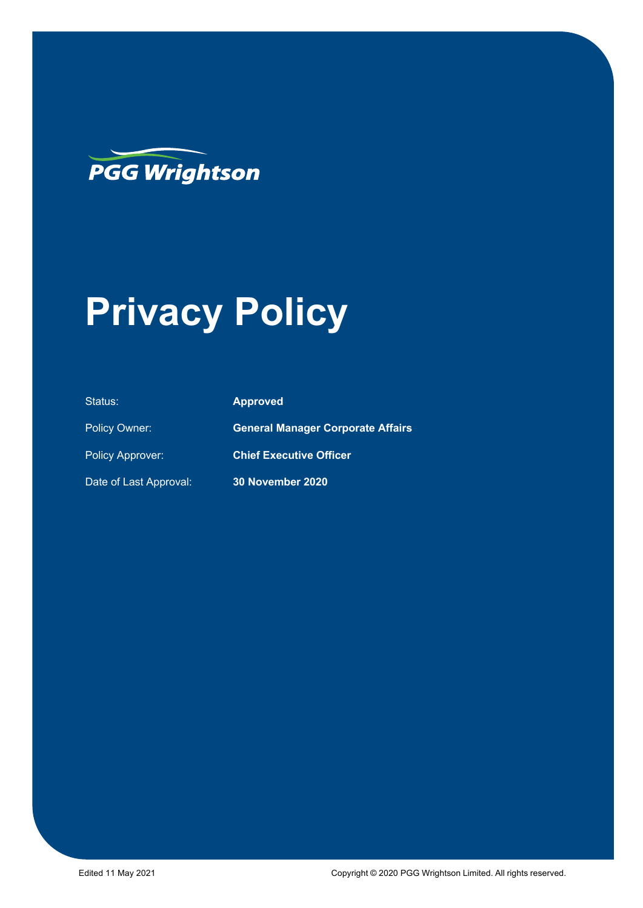

# **Privacy Policy**

| Status:                 | <b>Approved</b>                          |
|-------------------------|------------------------------------------|
| <b>Policy Owner:</b>    | <b>General Manager Corporate Affairs</b> |
| <b>Policy Approver:</b> | <b>Chief Executive Officer</b>           |
| Date of Last Approval:  | 30 November 2020                         |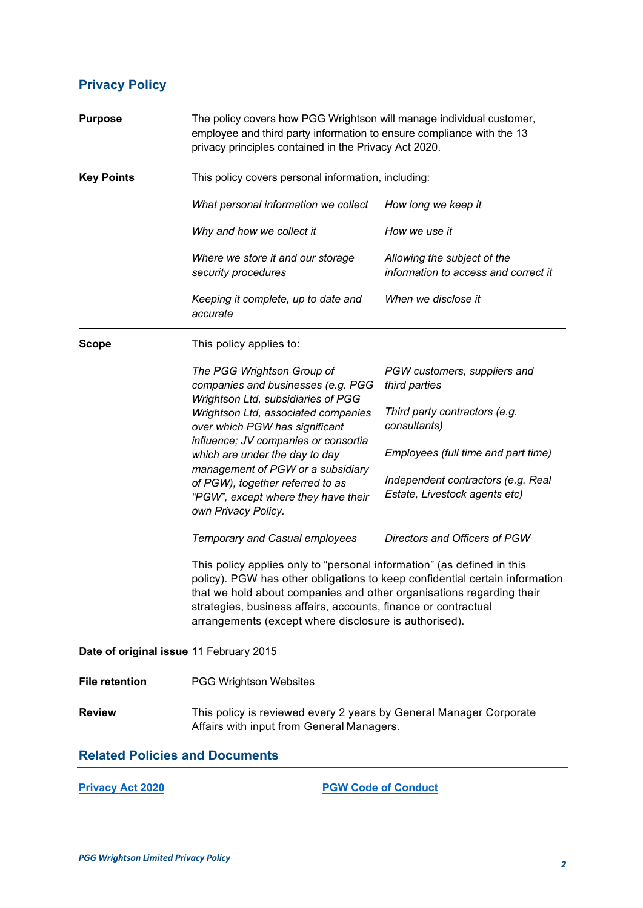# **Privacy Policy**

| <b>Purpose</b>                          | The policy covers how PGG Wrightson will manage individual customer,<br>employee and third party information to ensure compliance with the 13<br>privacy principles contained in the Privacy Act 2020.                                                                                                                                                   |                                                                     |  |
|-----------------------------------------|----------------------------------------------------------------------------------------------------------------------------------------------------------------------------------------------------------------------------------------------------------------------------------------------------------------------------------------------------------|---------------------------------------------------------------------|--|
| <b>Key Points</b>                       | This policy covers personal information, including:                                                                                                                                                                                                                                                                                                      |                                                                     |  |
|                                         | What personal information we collect                                                                                                                                                                                                                                                                                                                     | How long we keep it                                                 |  |
|                                         | Why and how we collect it                                                                                                                                                                                                                                                                                                                                | How we use it                                                       |  |
|                                         | Where we store it and our storage<br>security procedures                                                                                                                                                                                                                                                                                                 | Allowing the subject of the<br>information to access and correct it |  |
|                                         | Keeping it complete, up to date and<br>accurate                                                                                                                                                                                                                                                                                                          | When we disclose it                                                 |  |
| <b>Scope</b>                            | This policy applies to:                                                                                                                                                                                                                                                                                                                                  |                                                                     |  |
|                                         | The PGG Wrightson Group of<br>companies and businesses (e.g. PGG<br>Wrightson Ltd, subsidiaries of PGG                                                                                                                                                                                                                                                   | PGW customers, suppliers and<br>third parties                       |  |
|                                         | Wrightson Ltd, associated companies<br>over which PGW has significant                                                                                                                                                                                                                                                                                    | Third party contractors (e.g.<br>consultants)                       |  |
|                                         | influence; JV companies or consortia<br>which are under the day to day                                                                                                                                                                                                                                                                                   | Employees (full time and part time)                                 |  |
|                                         | management of PGW or a subsidiary<br>of PGW), together referred to as<br>"PGW", except where they have their<br>own Privacy Policy.                                                                                                                                                                                                                      | Independent contractors (e.g. Real<br>Estate, Livestock agents etc) |  |
|                                         | Temporary and Casual employees                                                                                                                                                                                                                                                                                                                           | Directors and Officers of PGW                                       |  |
|                                         | This policy applies only to "personal information" (as defined in this<br>policy). PGW has other obligations to keep confidential certain information<br>that we hold about companies and other organisations regarding their<br>strategies, business affairs, accounts, finance or contractual<br>arrangements (except where disclosure is authorised). |                                                                     |  |
| Date of original issue 11 February 2015 |                                                                                                                                                                                                                                                                                                                                                          |                                                                     |  |
| <b>File retention</b>                   | <b>PGG Wrightson Websites</b>                                                                                                                                                                                                                                                                                                                            |                                                                     |  |
| <b>Review</b>                           | This policy is reviewed every 2 years by General Manager Corporate<br>Affairs with input from General Managers.                                                                                                                                                                                                                                          |                                                                     |  |
| <b>Related Policies and Documents</b>   |                                                                                                                                                                                                                                                                                                                                                          |                                                                     |  |
| <b>Privacy Act 2020</b>                 | <b>PGW Code of Conduct</b>                                                                                                                                                                                                                                                                                                                               |                                                                     |  |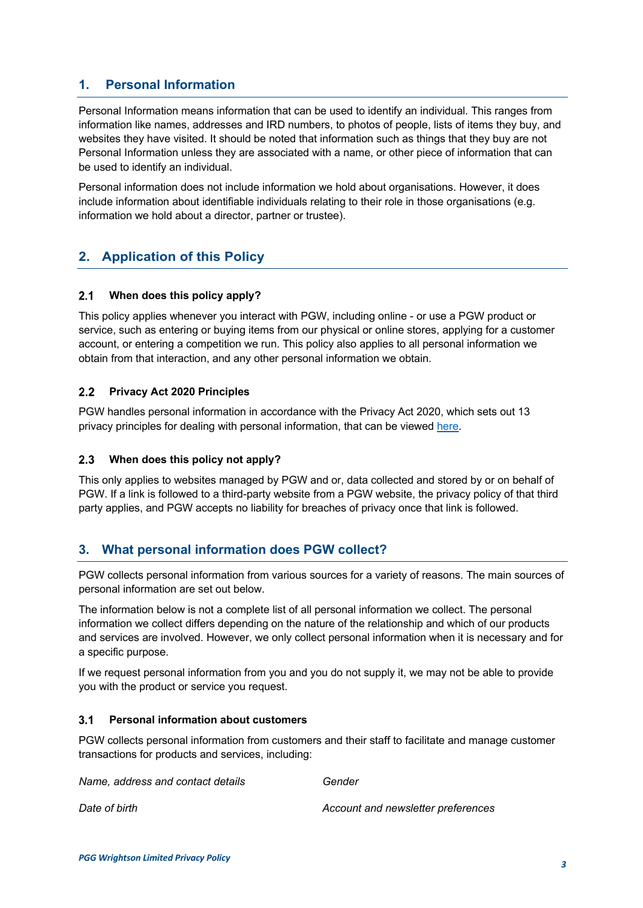# **1. Personal Information**

Personal Information means information that can be used to identify an individual. This ranges from information like names, addresses and IRD numbers, to photos of people, lists of items they buy, and websites they have visited. It should be noted that information such as things that they buy are not Personal Information unless they are associated with a name, or other piece of information that can be used to identify an individual.

Personal information does not include information we hold about organisations. However, it does include information about identifiable individuals relating to their role in those organisations (e.g. information we hold about a director, partner or trustee).

# **2. Application of this Policy**

#### $2.1$ **When does this policy apply?**

This policy applies whenever you interact with PGW, including online - or use a PGW product or service, such as entering or buying items from our physical or online stores, applying for a customer account, or entering a competition we run. This policy also applies to all personal information we obtain from that interaction, and any other personal information we obtain.

#### $2.2$ **Privacy Act 2020 Principles**

PGW handles personal information in accordance with the Privacy Act 2020, which sets out 13 privacy principles for dealing with personal information, that can be viewed [here.](http://www.legislation.govt.nz/act/public/2020/0031/latest/LMS23342.html)

#### $2.3$ **When does this policy not apply?**

This only applies to websites managed by PGW and or, data collected and stored by or on behalf of PGW. If a link is followed to a third-party website from a PGW website, the privacy policy of that third party applies, and PGW accepts no liability for breaches of privacy once that link is followed.

## **3. What personal information does PGW collect?**

PGW collects personal information from various sources for a variety of reasons. The main sources of personal information are set out below.

The information below is not a complete list of all personal information we collect. The personal information we collect differs depending on the nature of the relationship and which of our products and services are involved. However, we only collect personal information when it is necessary and for a specific purpose.

If we request personal information from you and you do not supply it, we may not be able to provide you with the product or service you request.

#### $3.1$ **Personal information about customers**

PGW collects personal information from customers and their staff to facilitate and manage customer transactions for products and services, including:

| Name, address and contact details | Gender                             |
|-----------------------------------|------------------------------------|
| Date of birth                     | Account and newsletter preferences |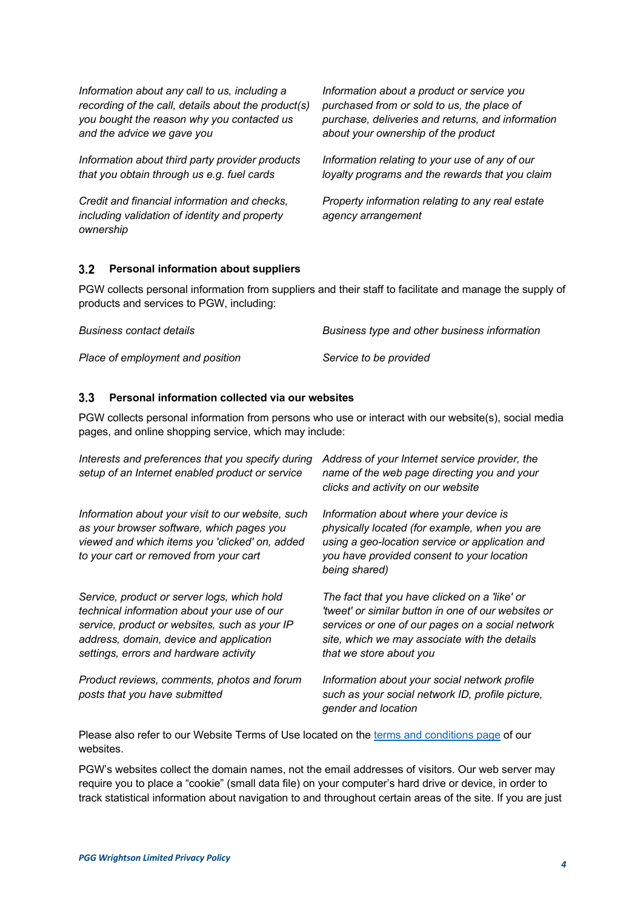| Information about any call to us, including a                                                              | Information about a product or service you                             |
|------------------------------------------------------------------------------------------------------------|------------------------------------------------------------------------|
| recording of the call, details about the product(s)                                                        | purchased from or sold to us, the place of                             |
| you bought the reason why you contacted us                                                                 | purchase, deliveries and returns, and information                      |
| and the advice we gave you                                                                                 | about your ownership of the product                                    |
| Information about third party provider products                                                            | Information relating to your use of any of our                         |
| that you obtain through us e.g. fuel cards                                                                 | loyalty programs and the rewards that you claim                        |
| Credit and financial information and checks,<br>including validation of identity and property<br>ownership | Property information relating to any real estate<br>agency arrangement |

#### **Personal information about suppliers**  $3.2$

PGW collects personal information from suppliers and their staff to facilitate and manage the supply of products and services to PGW, including:

| <b>Business contact details</b>  | Business type and other business information |
|----------------------------------|----------------------------------------------|
| Place of employment and position | Service to be provided                       |

#### $3.3$ **Personal information collected via our websites**

PGW collects personal information from persons who use or interact with our website(s), social media pages, and online shopping service, which may include:

| Interests and preferences that you specify during<br>setup of an Internet enabled product or service                                                                                                                             | Address of your Internet service provider, the<br>name of the web page directing you and your<br>clicks and activity on our website                                                                                                  |
|----------------------------------------------------------------------------------------------------------------------------------------------------------------------------------------------------------------------------------|--------------------------------------------------------------------------------------------------------------------------------------------------------------------------------------------------------------------------------------|
| Information about your visit to our website, such<br>as your browser software, which pages you<br>viewed and which items you 'clicked' on, added<br>to your cart or removed from your cart                                       | Information about where your device is<br>physically located (for example, when you are<br>using a geo-location service or application and<br>you have provided consent to your location<br>being shared)                            |
| Service, product or server logs, which hold<br>technical information about your use of our<br>service, product or websites, such as your IP<br>address, domain, device and application<br>settings, errors and hardware activity | The fact that you have clicked on a 'like' or<br>'tweet' or similar button in one of our websites or<br>services or one of our pages on a social network<br>site, which we may associate with the details<br>that we store about you |
| Product reviews, comments, photos and forum<br>posts that you have submitted                                                                                                                                                     | Information about your social network profile<br>such as your social network ID, profile picture,<br>gender and location                                                                                                             |

Please also refer to our Website Terms of Use located on the [terms and conditions page](https://www.pggwrightson.co.nz/Our-Company/Terms-and-Conditions) of our websites.

PGW's websites collect the domain names, not the email addresses of visitors. Our web server may require you to place a "cookie" (small data file) on your computer's hard drive or device, in order to track statistical information about navigation to and throughout certain areas of the site. If you are just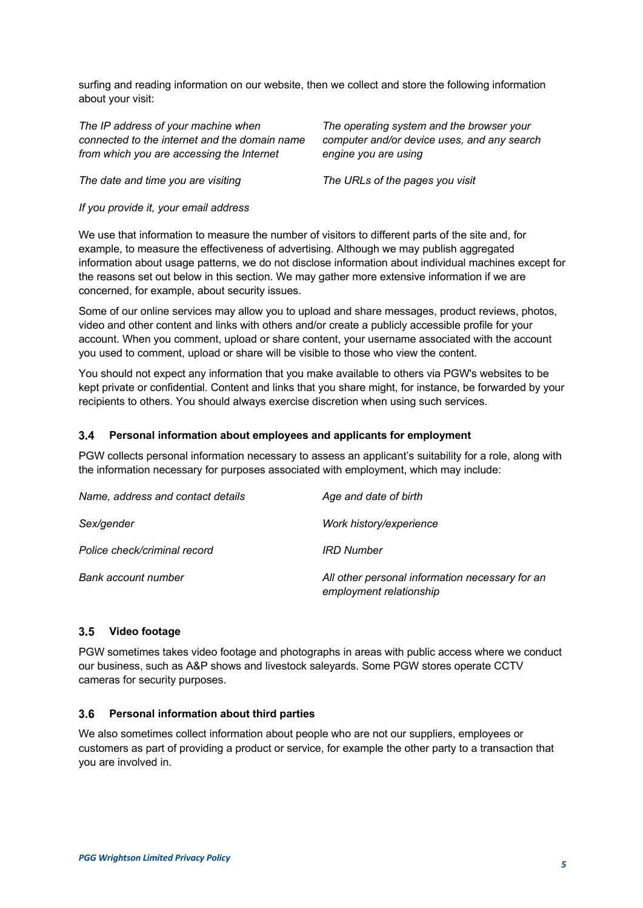surfing and reading information on our website, then we collect and store the following information about your visit:

*The IP address of your machine when connected to the internet and the domain name from which you are accessing the Internet*

*The operating system and the browser your computer and/or device uses, and any search engine you are using*

*The date and time you are visiting The URLs of the pages you visit*

*If you provide it, your email address*

We use that information to measure the number of visitors to different parts of the site and, for example, to measure the effectiveness of advertising. Although we may publish aggregated information about usage patterns, we do not disclose information about individual machines except for the reasons set out below in this section. We may gather more extensive information if we are concerned, for example, about security issues.

Some of our online services may allow you to upload and share messages, product reviews, photos, video and other content and links with others and/or create a publicly accessible profile for your account. When you comment, upload or share content, your username associated with the account you used to comment, upload or share will be visible to those who view the content.

You should not expect any information that you make available to others via PGW's websites to be kept private or confidential. Content and links that you share might, for instance, be forwarded by your recipients to others. You should always exercise discretion when using such services.

#### $3.4$ **Personal information about employees and applicants for employment**

PGW collects personal information necessary to assess an applicant's suitability for a role, along with the information necessary for purposes associated with employment, which may include:

| Name, address and contact details | Age and date of birth                                                      |
|-----------------------------------|----------------------------------------------------------------------------|
| Sex/gender                        | Work history/experience                                                    |
| Police check/criminal record      | <b>IRD Number</b>                                                          |
| Bank account number               | All other personal information necessary for an<br>employment relationship |

#### $3.5$ **Video footage**

PGW sometimes takes video footage and photographs in areas with public access where we conduct our business, such as A&P shows and livestock saleyards. Some PGW stores operate CCTV cameras for security purposes.

#### $3.6$ **Personal information about third parties**

We also sometimes collect information about people who are not our suppliers, employees or customers as part of providing a product or service, for example the other party to a transaction that you are involved in.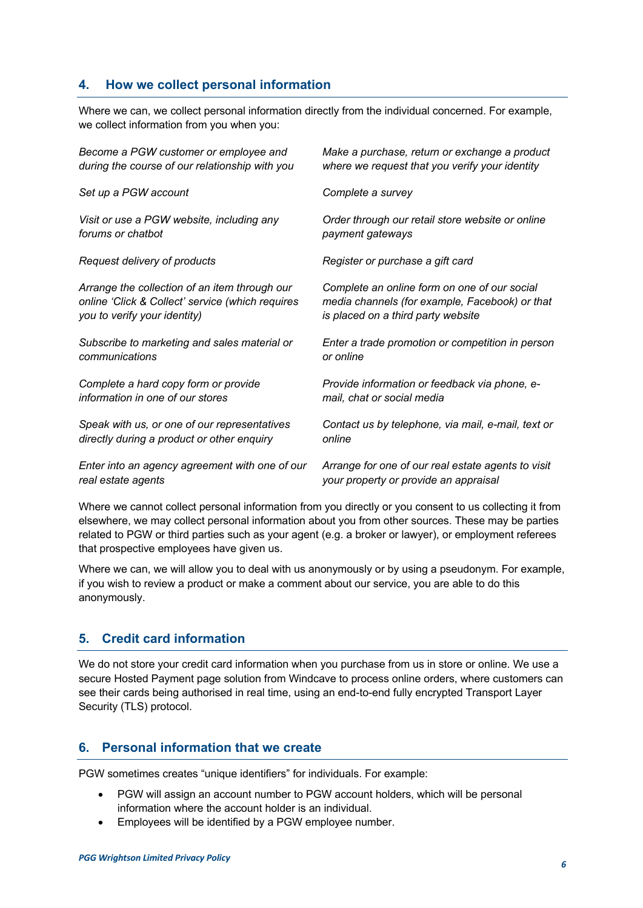# **4. How we collect personal information**

Where we can, we collect personal information directly from the individual concerned. For example, we collect information from you when you:

| Become a PGW customer or employee and            | Make a purchase, return or exchange a product      |
|--------------------------------------------------|----------------------------------------------------|
| during the course of our relationship with you   | where we request that you verify your identity     |
| Set up a PGW account                             | Complete a survey                                  |
| Visit or use a PGW website, including any        | Order through our retail store website or online   |
| forums or chatbot                                | payment gateways                                   |
| Request delivery of products                     | Register or purchase a gift card                   |
| Arrange the collection of an item through our    | Complete an online form on one of our social       |
| online 'Click & Collect' service (which requires | media channels (for example, Facebook) or that     |
| you to verify your identity)                     | is placed on a third party website                 |
| Subscribe to marketing and sales material or     | Enter a trade promotion or competition in person   |
| communications                                   | or online                                          |
| Complete a hard copy form or provide             | Provide information or feedback via phone, e-      |
| information in one of our stores                 | mail, chat or social media                         |
| Speak with us, or one of our representatives     | Contact us by telephone, via mail, e-mail, text or |
| directly during a product or other enquiry       | online                                             |
| Enter into an agency agreement with one of our   | Arrange for one of our real estate agents to visit |
| real estate agents                               | your property or provide an appraisal              |

Where we cannot collect personal information from you directly or you consent to us collecting it from elsewhere, we may collect personal information about you from other sources. These may be parties related to PGW or third parties such as your agent (e.g. a broker or lawyer), or employment referees that prospective employees have given us.

Where we can, we will allow you to deal with us anonymously or by using a pseudonym. For example, if you wish to review a product or make a comment about our service, you are able to do this anonymously.

# **5. Credit card information**

We do not store your credit card information when you purchase from us in store or online. We use a secure Hosted Payment page solution from Windcave to process online orders, where customers can see their cards being authorised in real time, using an end-to-end fully encrypted Transport Layer Security (TLS) protocol.

## **6. Personal information that we create**

PGW sometimes creates "unique identifiers" for individuals. For example:

- PGW will assign an account number to PGW account holders, which will be personal information where the account holder is an individual.
- Employees will be identified by a PGW employee number.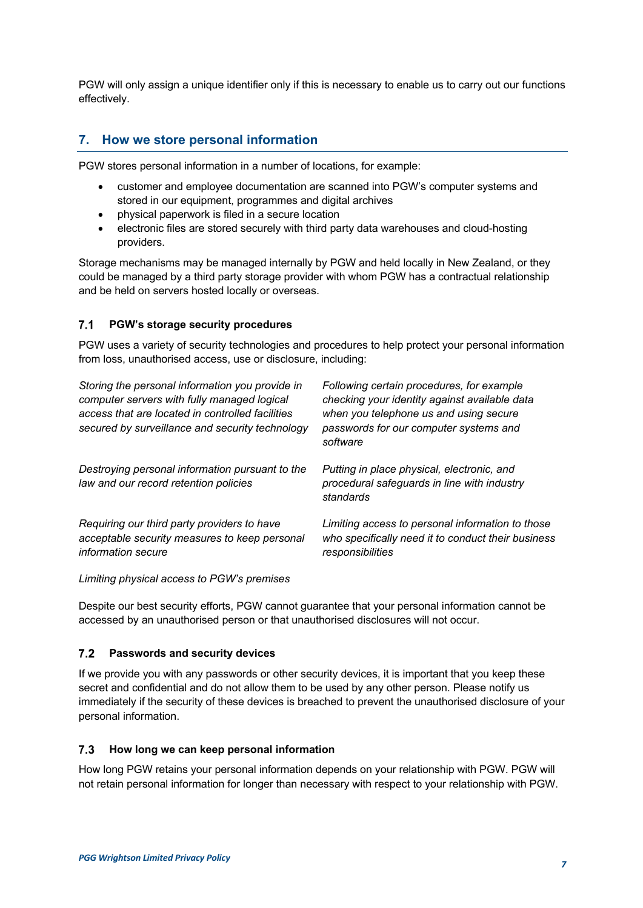PGW will only assign a unique identifier only if this is necessary to enable us to carry out our functions effectively.

# **7. How we store personal information**

PGW stores personal information in a number of locations, for example:

- customer and employee documentation are scanned into PGW's computer systems and stored in our equipment, programmes and digital archives
- physical paperwork is filed in a secure location
- electronic files are stored securely with third party data warehouses and cloud-hosting providers.

Storage mechanisms may be managed internally by PGW and held locally in New Zealand, or they could be managed by a third party storage provider with whom PGW has a contractual relationship and be held on servers hosted locally or overseas.

#### $7.1$ **PGW's storage security procedures**

PGW uses a variety of security technologies and procedures to help protect your personal information from loss, unauthorised access, use or disclosure, including:

| Storing the personal information you provide in<br>computer servers with fully managed logical<br>access that are located in controlled facilities<br>secured by surveillance and security technology | Following certain procedures, for example<br>checking your identity against available data<br>when you telephone us and using secure<br>passwords for our computer systems and<br>software |
|-------------------------------------------------------------------------------------------------------------------------------------------------------------------------------------------------------|--------------------------------------------------------------------------------------------------------------------------------------------------------------------------------------------|
| Destroying personal information pursuant to the<br>law and our record retention policies                                                                                                              | Putting in place physical, electronic, and<br>procedural safeguards in line with industry<br>standards                                                                                     |
| Requiring our third party providers to have<br>acceptable security measures to keep personal<br>information secure                                                                                    | Limiting access to personal information to those<br>who specifically need it to conduct their business<br>responsibilities                                                                 |

*Limiting physical access to PGW's premises* 

Despite our best security efforts, PGW cannot guarantee that your personal information cannot be accessed by an unauthorised person or that unauthorised disclosures will not occur.

#### $7.2$ **Passwords and security devices**

If we provide you with any passwords or other security devices, it is important that you keep these secret and confidential and do not allow them to be used by any other person. Please notify us immediately if the security of these devices is breached to prevent the unauthorised disclosure of your personal information.

#### $7.3$ **How long we can keep personal information**

How long PGW retains your personal information depends on your relationship with PGW. PGW will not retain personal information for longer than necessary with respect to your relationship with PGW.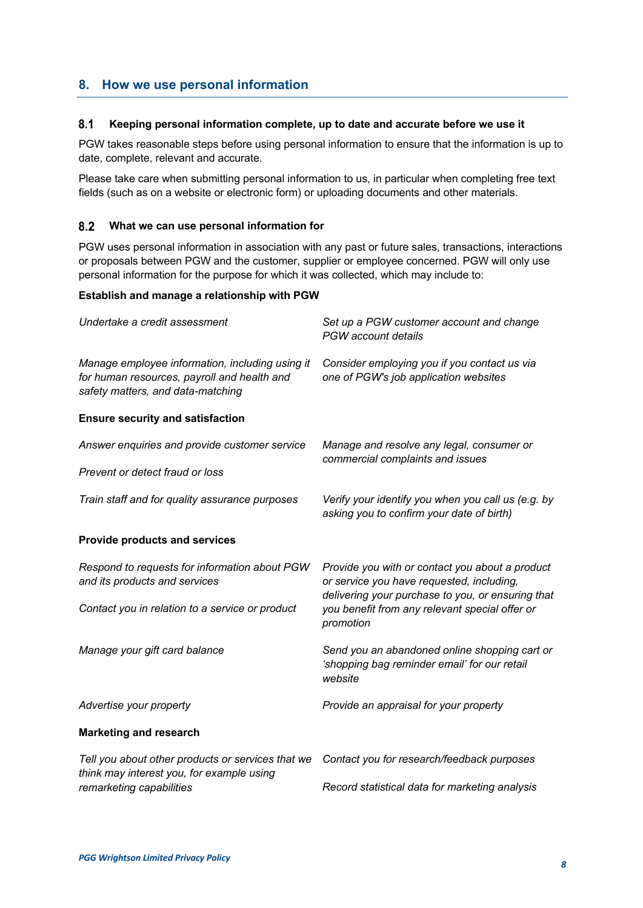## **8. How we use personal information**

#### $8.1$ **Keeping personal information complete, up to date and accurate before we use it**

PGW takes reasonable steps before using personal information to ensure that the information is up to date, complete, relevant and accurate.

Please take care when submitting personal information to us, in particular when completing free text fields (such as on a website or electronic form) or uploading documents and other materials.

#### $8.2$ **What we can use personal information for**

PGW uses personal information in association with any past or future sales, transactions, interactions or proposals between PGW and the customer, supplier or employee concerned. PGW will only use personal information for the purpose for which it was collected, which may include to:

## **Establish and manage a relationship with PGW**

| Undertake a credit assessment                                                                                                       | Set up a PGW customer account and change<br>PGW account details                                                                                   |
|-------------------------------------------------------------------------------------------------------------------------------------|---------------------------------------------------------------------------------------------------------------------------------------------------|
| Manage employee information, including using it<br>for human resources, payroll and health and<br>safety matters, and data-matching | Consider employing you if you contact us via<br>one of PGW's job application websites                                                             |
| <b>Ensure security and satisfaction</b>                                                                                             |                                                                                                                                                   |
| Answer enquiries and provide customer service                                                                                       | Manage and resolve any legal, consumer or<br>commercial complaints and issues                                                                     |
| Prevent or detect fraud or loss                                                                                                     |                                                                                                                                                   |
| Train staff and for quality assurance purposes                                                                                      | Verify your identify you when you call us (e.g. by<br>asking you to confirm your date of birth)                                                   |
| <b>Provide products and services</b>                                                                                                |                                                                                                                                                   |
| Respond to requests for information about PGW<br>and its products and services                                                      | Provide you with or contact you about a product<br>or service you have requested, including,<br>delivering your purchase to you, or ensuring that |
| Contact you in relation to a service or product                                                                                     | you benefit from any relevant special offer or<br>promotion                                                                                       |
| Manage your gift card balance                                                                                                       | Send you an abandoned online shopping cart or<br>'shopping bag reminder email' for our retail<br>website                                          |
| Advertise your property                                                                                                             | Provide an appraisal for your property                                                                                                            |
| <b>Marketing and research</b>                                                                                                       |                                                                                                                                                   |
| Tell you about other products or services that we<br>think may interest you, for example using                                      | Contact you for research/feedback purposes                                                                                                        |
| remarketing capabilities                                                                                                            | Record statistical data for marketing analysis                                                                                                    |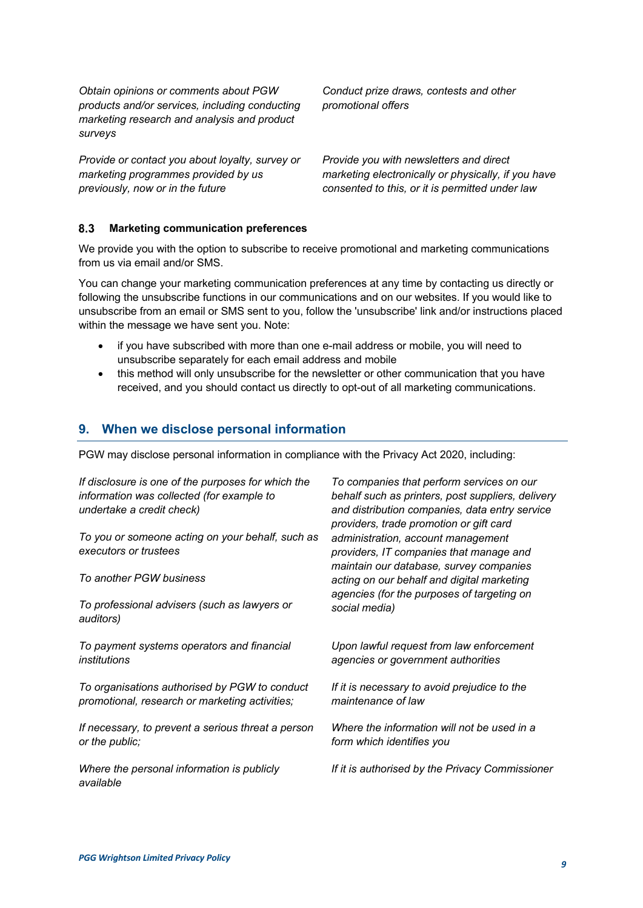*Obtain opinions or comments about PGW products and/or services, including conducting marketing research and analysis and product surveys* 

*Provide or contact you about loyalty, survey or marketing programmes provided by us previously, now or in the future*

*Conduct prize draws, contests and other promotional offers* 

*Provide you with newsletters and direct marketing electronically or physically, if you have consented to this, or it is permitted under law*

#### 8.3 **Marketing communication preferences**

We provide you with the option to subscribe to receive promotional and marketing communications from us via email and/or SMS.

You can change your marketing communication preferences at any time by contacting us directly or following the unsubscribe functions in our communications and on our websites. If you would like to unsubscribe from an email or SMS sent to you, follow the 'unsubscribe' link and/or instructions placed within the message we have sent you. Note:

- if you have subscribed with more than one e-mail address or mobile, you will need to unsubscribe separately for each email address and mobile
- this method will only unsubscribe for the newsletter or other communication that you have received, and you should contact us directly to opt-out of all marketing communications.

## **9. When we disclose personal information**

PGW may disclose personal information in compliance with the Privacy Act 2020, including:

| If disclosure is one of the purposes for which the<br>information was collected (for example to<br>undertake a credit check) | To companies that perform services on our<br>behalf such as printers, post suppliers, delivery<br>and distribution companies, data entry service<br>providers, trade promotion or gift card |
|------------------------------------------------------------------------------------------------------------------------------|---------------------------------------------------------------------------------------------------------------------------------------------------------------------------------------------|
| To you or someone acting on your behalf, such as                                                                             | administration, account management                                                                                                                                                          |
| executors or trustees                                                                                                        | providers, IT companies that manage and                                                                                                                                                     |
| To another PGW business                                                                                                      | maintain our database, survey companies<br>acting on our behalf and digital marketing                                                                                                       |
| To professional advisers (such as lawyers or                                                                                 | agencies (for the purposes of targeting on                                                                                                                                                  |
| auditors)                                                                                                                    | social media)                                                                                                                                                                               |
| To payment systems operators and financial                                                                                   | Upon lawful request from law enforcement                                                                                                                                                    |
| institutions                                                                                                                 | agencies or government authorities                                                                                                                                                          |
| To organisations authorised by PGW to conduct                                                                                | If it is necessary to avoid prejudice to the                                                                                                                                                |
| promotional, research or marketing activities;                                                                               | maintenance of law                                                                                                                                                                          |
| If necessary, to prevent a serious threat a person                                                                           | Where the information will not be used in a                                                                                                                                                 |
| or the public;                                                                                                               | form which identifies you                                                                                                                                                                   |
| Where the personal information is publicly<br>available                                                                      | If it is authorised by the Privacy Commissioner                                                                                                                                             |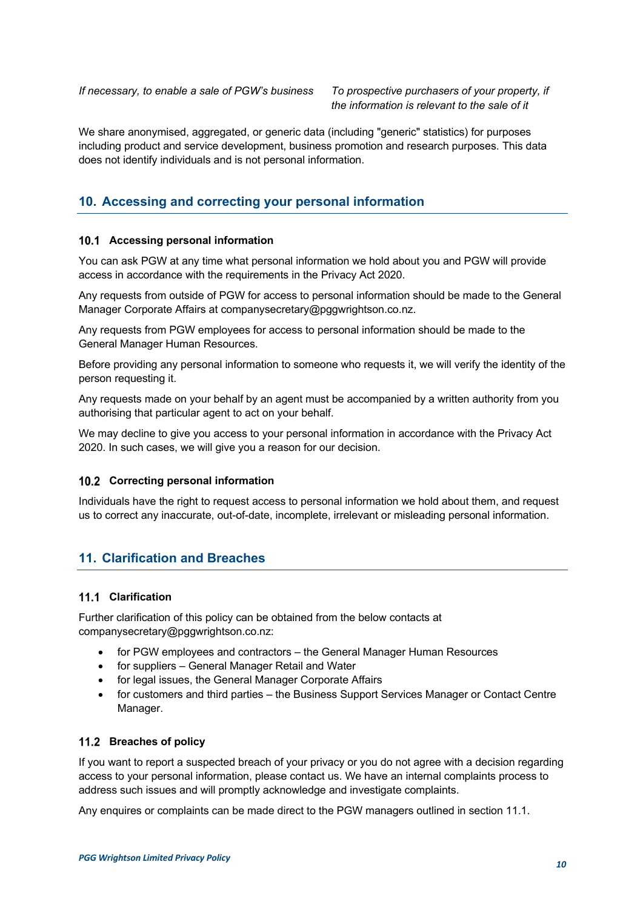*the information is relevant to the sale of it*

We share anonymised, aggregated, or generic data (including "generic" statistics) for purposes including product and service development, business promotion and research purposes. This data does not identify individuals and is not personal information.

## **10. Accessing and correcting your personal information**

## **Accessing personal information**

You can ask PGW at any time what personal information we hold about you and PGW will provide access in accordance with the requirements in the Privacy Act 2020.

Any requests from outside of PGW for access to personal information should be made to the General Manager Corporate Affairs at companysecretary@pggwrightson.co.nz.

Any requests from PGW employees for access to personal information should be made to the General Manager Human Resources.

Before providing any personal information to someone who requests it, we will verify the identity of the person requesting it.

Any requests made on your behalf by an agent must be accompanied by a written authority from you authorising that particular agent to act on your behalf.

We may decline to give you access to your personal information in accordance with the Privacy Act 2020. In such cases, we will give you a reason for our decision.

## **Correcting personal information**

Individuals have the right to request access to personal information we hold about them, and request us to correct any inaccurate, out-of-date, incomplete, irrelevant or misleading personal information.

## **11. Clarification and Breaches**

## **Clarification**

Further clarification of this policy can be obtained from the below contacts at companysecretary@pggwrightson.co.nz:

- for PGW employees and contractors the General Manager Human Resources
- for suppliers General Manager Retail and Water
- for legal issues, the General Manager Corporate Affairs
- for customers and third parties the Business Support Services Manager or Contact Centre Manager.

## **Breaches of policy**

If you want to report a suspected breach of your privacy or you do not agree with a decision regarding access to your personal information, please contact us. We have an internal complaints process to address such issues and will promptly acknowledge and investigate complaints.

Any enquires or complaints can be made direct to the PGW managers outlined in section 11.1.